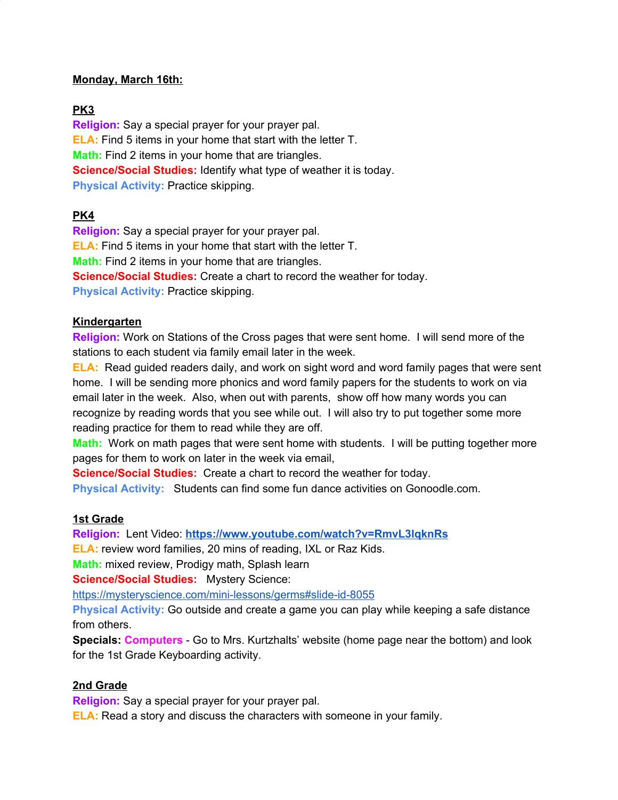#### **Monday, March 16th:**

### **PK3**

**Religion:** Say a special prayer for your prayer pal. **ELA:** Find 5 items in your home that start with the letter T. **Math:** Find 2 items in your home that are triangles. **Science/Social Studies:** Identify what type of weather it is today. **Physical Activity:** Practice skipping.

# **PK4**

**Religion:** Say a special prayer for your prayer pal. **ELA:** Find 5 items in your home that start with the letter T. **Math:** Find 2 items in your home that are triangles. **Science/Social Studies:** Create a chart to record the weather for today. **Physical Activity:** Practice skipping.

### **Kindergarten**

**Religion:** Work on Stations of the Cross pages that were sent home. I will send more of the stations to each student via family email later in the week.

**ELA:** Read guided readers daily, and work on sight word and word family pages that were sent home. I will be sending more phonics and word family papers for the students to work on via email later in the week. Also, when out with parents, show off how many words you can recognize by reading words that you see while out. I will also try to put together some more reading practice for them to read while they are off.

**Math:** Work on math pages that were sent home with students. I will be putting together more pages for them to work on later in the week via email,

**Science/Social Studies:** Create a chart to record the weather for today.

**Physical Activity:** Students can find some fun dance activities on Gonoodle.com.

### **1st Grade**

**Religion:** Lent Video: **https://www.youtube.com/watch?v=RmvL3lqknRs**

**ELA:** review word families, 20 mins of reading, IXL or Raz Kids.

**Math:** mixed review, Prodigy math, Splash learn

**Science/Social Studies:** Mystery Science:

https://mysteryscience.com/mini-lessons/germs#slide-id-8055

**Physical Activity:** Go outside and create a game you can play while keeping a safe distance from others.

**Specials: Computers** - Go to Mrs. Kurtzhalts' website (home page near the bottom) and look for the 1st Grade Keyboarding activity.

# **2nd Grade**

**Religion:** Say a special prayer for your prayer pal.

**ELA:** Read a story and discuss the characters with someone in your family.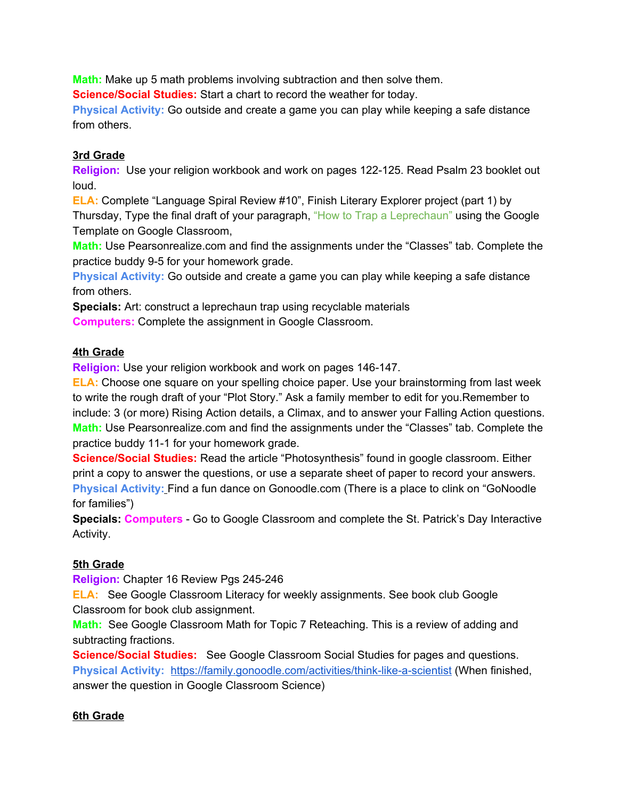**Math:** Make up 5 math problems involving subtraction and then solve them.

**Science/Social Studies:** Start a chart to record the weather for today.

**Physical Activity:** Go outside and create a game you can play while keeping a safe distance from others.

### **3rd Grade**

**Religion:** Use your religion workbook and work on pages 122-125. Read Psalm 23 booklet out loud.

**ELA:** Complete "Language Spiral Review #10", Finish Literary Explorer project (part 1) by Thursday, Type the final draft of your paragraph, "How to Trap a Leprechaun" using the Google Template on Google Classroom,

**Math:** Use Pearsonrealize.com and find the assignments under the "Classes" tab. Complete the practice buddy 9-5 for your homework grade.

**Physical Activity:** Go outside and create a game you can play while keeping a safe distance from others.

**Specials:** Art: construct a leprechaun trap using recyclable materials

**Computers:** Complete the assignment in Google Classroom.

# **4th Grade**

**Religion:** Use your religion workbook and work on pages 146-147.

**ELA:** Choose one square on your spelling choice paper. Use your brainstorming from last week to write the rough draft of your "Plot Story." Ask a family member to edit for you.Remember to include: 3 (or more) Rising Action details, a Climax, and to answer your Falling Action questions. **Math:** Use Pearsonrealize.com and find the assignments under the "Classes" tab. Complete the practice buddy 11-1 for your homework grade.

**Science/Social Studies:** Read the article "Photosynthesis" found in google classroom. Either print a copy to answer the questions, or use a separate sheet of paper to record your answers. **Physical Activity:** Find a fun dance on Gonoodle.com (There is a place to clink on "GoNoodle for families")

**Specials: Computers** - Go to Google Classroom and complete the St. Patrick's Day Interactive Activity.

# **5th Grade**

**Religion:** Chapter 16 Review Pgs 245-246

**ELA:** See Google Classroom Literacy for weekly assignments. See book club Google Classroom for book club assignment.

**Math:** See Google Classroom Math for Topic 7 Reteaching. This is a review of adding and subtracting fractions.

**Science/Social Studies:** See Google Classroom Social Studies for pages and questions. **Physical Activity:** https://family.gonoodle.com/activities/think-like-a-scientist (When finished, answer the question in Google Classroom Science)

# **6th Grade**